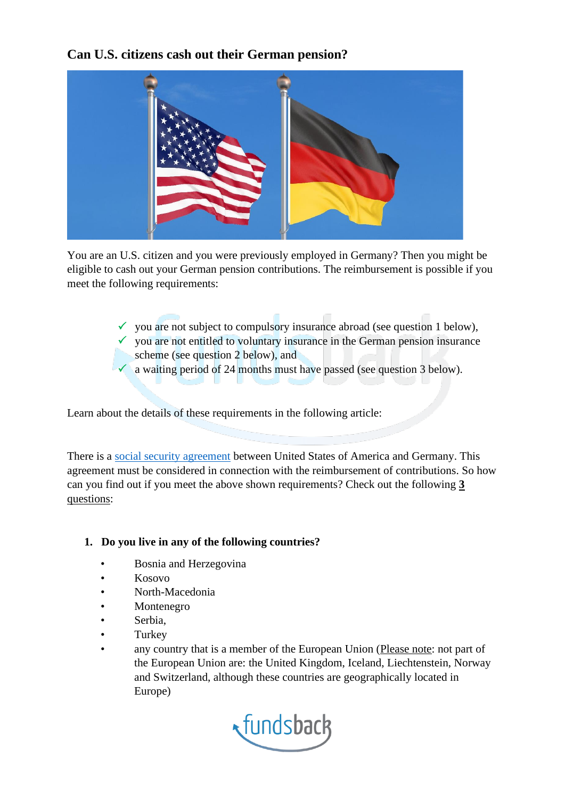**Can U.S. citizens cash out their German pension?**



You are an U.S. citizen and you were previously employed in Germany? Then you might be eligible to cash out your German pension contributions. The reimbursement is possible if you meet the following requirements:

- $\checkmark$  you are not subject to compulsory insurance abroad (see question 1 below),
- $\checkmark$  you are not entitled to voluntary insurance in the German pension insurance scheme (see question 2 below), and
- $\checkmark$  a waiting period of 24 months must have passed (see question 3 below).

Learn about the details of these requirements in the following article:

There is a [social security agreement](https://www.dvka.de/media/dokumente/rechtsquellen/svabkommen/Indien_SVA.pdf) between United States of America and Germany. This agreement must be considered in connection with the reimbursement of contributions. So how can you find out if you meet the above shown requirements? Check out the following **3** questions:

## **1. Do you live in any of the following countries?**

- Bosnia and Herzegovina
- Kosovo
- North-Macedonia
- **Montenegro**
- Serbia,
- Turkey
- any country that is a member of the European Union (Please note: not part of the European Union are: the United Kingdom, Iceland, Liechtenstein, Norway and Switzerland, although these countries are geographically located in Europe)